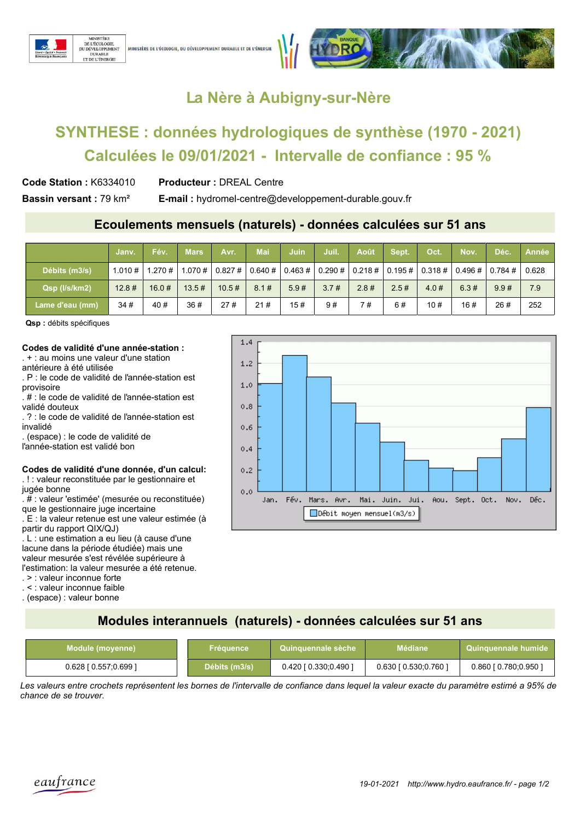



## La Nère à Aubigny-sur-Nère

# SYNTHESE : données hydrologiques de synthèse (1970 - 2021) Calculées le 09/01/2021 - Intervalle de confiance : 95 %

**Producteur: DREAL Centre** Code Station: K6334010

Bassin versant: 79 km<sup>2</sup>

**E-mail:** hydromel-centre@developpement-durable.gouv.fr

### Ecoulements mensuels (naturels) - données calculées sur 51 ans

|                   | Janv.     | Fév.   | <b>Mars</b> | Avr.                    | Mai    | Juin | Juil.               | Août    | Sept. | <b>Oct.</b>     | Nov.       | Déc.      | <b>Année</b> |
|-------------------|-----------|--------|-------------|-------------------------|--------|------|---------------------|---------|-------|-----------------|------------|-----------|--------------|
| Débits (m3/s)     | 1.010#    | 1.270# |             | $1.070 \#   0.827 \#  $ | 0.640# |      | $0.463 \# 0.290 \#$ | 0.218 # |       | 0.195 # 0.318 # | $0.496 \#$ | $0.784$ # | 0.628        |
| Qsp (I/s/km2)     | $12.8 \#$ | 16.0#  | 13.5#       | 10.5#                   | 8.1#   | 5.9# | 3.7#                | 2.8#    | 2.5#  | 4.0#            | 6.3#       | 9.9#      | 7.9          |
| 'Lame d'eau (mm), | 34#       | 40#    | 36#         | 27#                     | 21#    | 15#  | 9#                  | 7 #     | 6#    | 10#             | 16#        | 26#       | 252          |

Qsp : débits spécifiques

#### Codes de validité d'une année-station :

 $\pm$  : au moins une valeur d'une station antérieure à été utilisée

. P : le code de validité de l'année-station est provisoire

. # : le code de validité de l'année-station est validé douteux

. ? : le code de validité de l'année-station est invalidé

. (espace) : le code de validité de

l'année-station est validé bon

#### Codes de validité d'une donnée, d'un calcul: .! : valeur reconstituée par le gestionnaire et

jugée bonne

. # : valeur 'estimée' (mesurée ou reconstituée) que le gestionnaire juge incertaine

. E : la valeur retenue est une valeur estimée (à partir du rapport QIX/QJ)

. L : une estimation a eu lieu (à cause d'une lacune dans la période étudiée) mais une valeur mesurée s'est révélée supérieure à l'estimation: la valeur mesurée a été retenue.

. > : valeur inconnue forte

. < : valeur inconnue faible

. (espace) : valeur bonne



### Modules interannuels (naturels) - données calculées sur 51 ans

| Module (moyenne)          | Fréauence     | Quinquennale sèche        | <b>Médiane.</b>               | Quinquennale humide         |  |
|---------------------------|---------------|---------------------------|-------------------------------|-----------------------------|--|
| $0.628$ [ $0.557;0.699$ ] | Débits (m3/s) | $0.420$ [ $0.330;0.490$ ] | $0.630$ [ $0.530$ ; $0.760$ ] | $0.860$ [ $0.780$ ; 0.950 ] |  |

Les valeurs entre crochets représentent les bornes de l'intervalle de confiance dans lequel la valeur exacte du paramètre estimé a 95% de chance de se trouver.